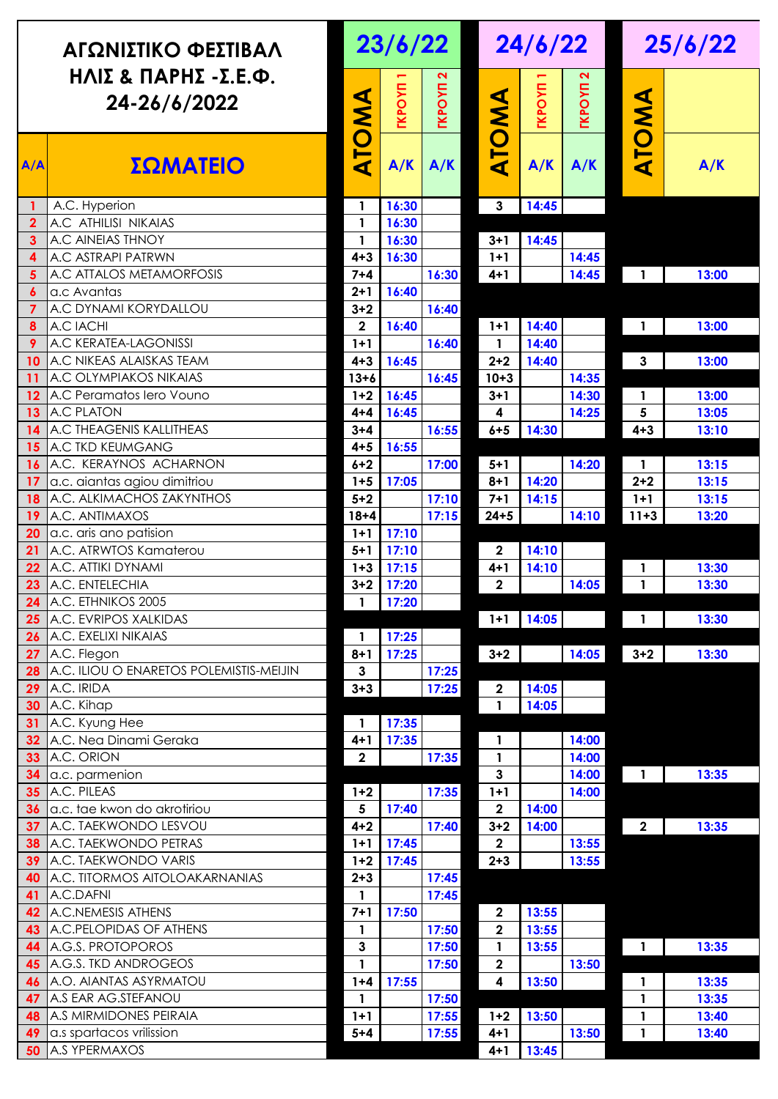| ΑΓΩΝΙΣΤΙΚΟ ΦΕΣΤΙΒΑΛ<br>ΗΛΙΣ & ΠΑΡΗΣ -Σ.Ε.Φ.<br>24-26/6/2022 |                                               | 23/6/22            |               |                |                  | 24/6/22       |               |                | 25/6/22        |  |
|-------------------------------------------------------------|-----------------------------------------------|--------------------|---------------|----------------|------------------|---------------|---------------|----------------|----------------|--|
|                                                             |                                               |                    | <b>TKPOYN</b> | <b>IXDOAN</b>  |                  | <b>TKPOYN</b> | <b>TKPOYN</b> | ATOMA          |                |  |
| A/A                                                         | ΣΩΜΑΤΕΙΟ                                      | ATOMA              | A/K           | A/K            | ATOMA            | A/K           | A/K           |                | A/K            |  |
| $\mathbf{1}$                                                | A.C. Hyperion                                 | $\mathbf{1}$       | 16:30         |                | 3                | 14:45         |               |                |                |  |
| $\overline{2}$                                              | A.C ATHILISI NIKAIAS                          | $\mathbf{1}$       | 16:30         |                |                  |               |               |                |                |  |
| $\mathbf{3}$                                                | A.C AINEIAS THNOY                             | $\mathbf{1}$       | 16:30         |                | $3 + 1$          | 14:45         |               |                |                |  |
| $\overline{\mathbf{4}}$                                     | <b>A.C ASTRAPI PATRWN</b>                     | $4 + 3$            | 16:30         |                | $1+1$            |               | 14:45         |                |                |  |
| 5                                                           | A.C ATTALOS METAMORFOSIS                      | $7 + 4$            |               | 16:30          | $4 + 1$          |               | 14:45         | $\mathbf{1}$   | 13:00          |  |
| $\boldsymbol{6}$                                            | a.c Avantas                                   | $2+1$              | 16:40         |                |                  |               |               |                |                |  |
| $\overline{7}$                                              | A.C DYNAMI KORYDALLOU                         | $3 + 2$            |               | 16:40          |                  |               |               |                |                |  |
| 8                                                           | A.C IACHI                                     | $\overline{2}$     | 16:40         |                | $1+1$            | 14:40         |               | 1              | 13:00          |  |
| 9                                                           | A.C KERATEA-LAGONISSI                         | $1+1$              |               | 16:40          | $\mathbf{1}$     | 14:40         |               |                |                |  |
| 10                                                          | A.C NIKEAS ALAISKAS TEAM                      | $4 + 3$            | 16:45         |                | $2 + 2$          | 14:40         |               | $\mathbf{3}$   | 13:00          |  |
| 11                                                          | A.C OLYMPIAKOS NIKAIAS                        | $13 + 6$           |               | 16:45          | $10 + 3$         |               | 14:35         |                |                |  |
| 12                                                          | A.C Peramatos lero Vouno<br>A.C PLATON        | $1+2$              | 16:45         |                | $3 + 1$          |               | 14:30         | $\mathbf{1}$   | 13:00          |  |
| 13                                                          | A.C THEAGENIS KALLITHEAS                      | $4 + 4$<br>$3 + 4$ | 16:45         |                | 4<br>$6 + 5$     |               | 14:25         | 5<br>$4 + 3$   | 13:05          |  |
| 14                                                          | A.C TKD KEUMGANG                              |                    | 16:55         | 16:55          |                  | 14:30         |               |                | 13:10          |  |
| 15<br>16                                                    | A.C. KERAYNOS ACHARNON                        | $4 + 5$<br>$6 + 2$ |               | 17:00          | $5 + 1$          |               | 14:20         | 1              | 13:15          |  |
| 17                                                          | a.c. aiantas agiou dimitriou                  | $1 + 5$            | 17:05         |                | $8 + 1$          | 14:20         |               | $2 + 2$        | 13:15          |  |
| 18                                                          | A.C. ALKIMACHOS ZAKYNTHOS                     | $5 + 2$            |               | 17:10          | $7 + 1$          | 14:15         |               | $1+1$          | 13:15          |  |
| 19                                                          | A.C. ANTIMAXOS                                | $18 + 4$           |               | 17:15          | $24 + 5$         |               | 14:10         | $11 + 3$       | 13:20          |  |
| 20                                                          | a.c. aris ano patision                        | $1+1$              | 17:10         |                |                  |               |               |                |                |  |
| 21                                                          | A.C. ATRWTOS Kamaterou                        | $5 + 1$            | 17:10         |                | $\mathbf{2}$     | 14:10         |               |                |                |  |
| 22                                                          | A.C. ATTIKI DYNAMI                            | $1 + 3$            | 17:15         |                | 4+1              | 14:10         |               | 1              | 13:30          |  |
| 23                                                          | A.C. ENTELECHIA                               | $3 + 2$            | 17:20         |                | $\mathbf{2}$     |               | 14:05         | 1              | 13:30          |  |
|                                                             | <b>24</b> A.C. ETHNIKOS 2005                  | $\mathbf{1}$       | 17:20         |                |                  |               |               |                |                |  |
| 25                                                          | A.C. EVRIPOS XALKIDAS                         |                    |               |                | $1+1$            | 14:05         |               | $\mathbf{1}$   | 13:30          |  |
| 26                                                          | A.C. EXELIXI NIKAIAS                          | $\mathbf{1}$       | 17:25         |                |                  |               |               |                |                |  |
| 27                                                          | A.C. Flegon                                   | $8 + 1$            | 17:25         |                | $3 + 2$          |               | 14:05         | $3 + 2$        | 13:30          |  |
| 28                                                          | A.C. ILIOU O ENARETOS POLEMISTIS-MEIJIN       | $\mathbf{3}$       |               | 17:25          |                  |               |               |                |                |  |
| 29                                                          | A.C. IRIDA                                    | $3 + 3$            |               | 17:25          | $\mathbf{2}$     | 14:05         |               |                |                |  |
| 30                                                          | A.C. Kihap                                    |                    |               |                | $\mathbf{1}$     | 14:05         |               |                |                |  |
| 31                                                          | A.C. Kyung Hee                                | 1                  | 17:35         |                |                  |               |               |                |                |  |
| 32                                                          | A.C. Nea Dinami Geraka                        | $4 + 1$            | 17:35         |                | 1                |               | 14:00         |                |                |  |
| 33                                                          | A.C. ORION                                    | $\overline{2}$     |               | 17:35          | $\mathbf{1}$     |               | 14:00         |                |                |  |
| 34                                                          | a.c. parmenion                                |                    |               |                | $\mathbf{3}$     |               | 14:00         | $\overline{1}$ | 13:35          |  |
| 35                                                          | A.C. PILEAS                                   | $1+2$              |               | 17:35          | $1 + 1$          |               | 14:00         |                |                |  |
| 36                                                          | a.c. tae kwon do akrotiriou                   | 5                  | 17:40         |                | 2                | 14:00         |               |                |                |  |
| 37                                                          | A.C. TAEKWONDO LESVOU                         | $4 + 2$            |               | 17:40          | $3 + 2$          | 14:00         |               | $\mathbf{2}$   | 13:35          |  |
| 38                                                          | A.C. TAEKWONDO PETRAS                         | $1+1$              | 17:45         |                | $\overline{2}$   |               | 13:55         |                |                |  |
| 39                                                          | A.C. TAEKWONDO VARIS                          | $1+2$              | 17:45         |                | $2 + 3$          |               | 13:55         |                |                |  |
| 40                                                          | A.C. TITORMOS AITOLOAKARNANIAS                | $2 + 3$            |               | 17:45          |                  |               |               |                |                |  |
| 41                                                          | A.C.DAFNI                                     | 1                  |               | 17:45          |                  |               |               |                |                |  |
| 42                                                          | A.C.NEMESIS ATHENS                            | $7 + 1$            | 17:50         |                | 2                | 13:55         |               |                |                |  |
| 43                                                          | A.C. PELOPIDAS OF ATHENS                      | $\mathbf{1}$       |               | 17:50          | $\mathbf 2$      | 13:55         |               |                |                |  |
| 44                                                          | A.G.S. PROTOPOROS                             | $\mathbf{3}$       |               | 17:50          | $\mathbf{1}$     | 13:55         |               | $\blacksquare$ | 13:35          |  |
| 45                                                          | A.G.S. TKD ANDROGEOS                          | $\mathbf{1}$       |               | 17:50          | $\boldsymbol{2}$ |               | 13:50         |                |                |  |
| 46                                                          | A.O. AIANTAS ASYRMATOU                        | $1 + 4$            | 17:55         |                | 4                | 13:50         |               | 1              | 13:35          |  |
| 47                                                          | A.S EAR AG.STEFANOU<br>A.S MIRMIDONES PEIRAIA | $\mathbf{1}$       |               | 17:50          | $1 + 2$          | 13:50         |               | 1              | 13:35          |  |
| 48                                                          | a.s spartacos vrilission                      | $1+1$<br>$5 + 4$   |               | 17:55<br>17:55 | $4 + 1$          |               | 13:50         | 1              | 13:40<br>13:40 |  |
| 49<br>50                                                    | A.S YPERMAXOS                                 |                    |               |                | $4 + 1$          | 13:45         |               | 1              |                |  |
|                                                             |                                               |                    |               |                |                  |               |               |                |                |  |